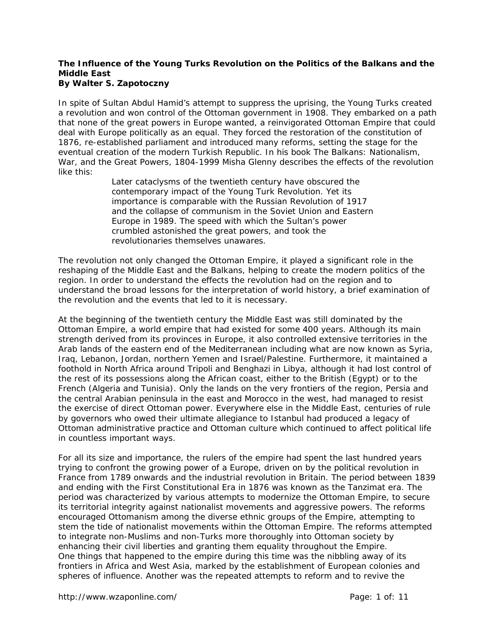## **The Influence of the Young Turks Revolution on the Politics of the Balkans and the Middle East**

## **By Walter S. Zapotoczny**

In spite of Sultan Abdul Hamid's attempt to suppress the uprising, the Young Turks created a revolution and won control of the Ottoman government in 1908. They embarked on a path that none of the great powers in Europe wanted, a reinvigorated Ottoman Empire that could deal with Europe politically as an equal. They forced the restoration of the constitution of 1876, re-established parliament and introduced many reforms, setting the stage for the eventual creation of the modern Turkish Republic. In his book *The Balkans: Nationalism, War, and the Great Powers, 1804-1999* Misha Glenny describes the effects of the revolution like this:

Later cataclysms of the twentieth century have obscured the contemporary impact of the Young Turk Revolution. Yet its importance is comparable with the Russian Revolution of 1917 and the collapse of communism in the Soviet Union and Eastern Europe in 1989. The speed with which the Sultan's power crumbled astonished the great powers, and took the revolutionaries themselves unawares.

The revolution not only changed the Ottoman Empire, it played a significant role in the reshaping of the Middle East and the Balkans, helping to create the modern politics of the region. In order to understand the effects the revolution had on the region and to understand the broad lessons for the interpretation of world history, a brief examination of the revolution and the events that led to it is necessary.

At the beginning of the twentieth century the Middle East was still dominated by the Ottoman Empire, a world empire that had existed for some 400 years. Although its main strength derived from its provinces in Europe, it also controlled extensive territories in the Arab lands of the eastern end of the Mediterranean including what are now known as Syria, Iraq, Lebanon, Jordan, northern Yemen and Israel/Palestine. Furthermore, it maintained a foothold in North Africa around Tripoli and Benghazi in Libya, although it had lost control of the rest of its possessions along the African coast, either to the British (Egypt) or to the French (Algeria and Tunisia). Only the lands on the very frontiers of the region, Persia and the central Arabian peninsula in the east and Morocco in the west, had managed to resist the exercise of direct Ottoman power. Everywhere else in the Middle East, centuries of rule by governors who owed their ultimate allegiance to Istanbul had produced a legacy of Ottoman administrative practice and Ottoman culture which continued to affect political life in countless important ways.

For all its size and importance, the rulers of the empire had spent the last hundred years trying to confront the growing power of a Europe, driven on by the political revolution in France from 1789 onwards and the industrial revolution in Britain. The period between 1839 and ending with the First Constitutional Era in 1876 was known as the Tanzimat era. The period was characterized by various attempts to modernize the Ottoman Empire, to secure its territorial integrity against nationalist movements and aggressive powers. The reforms encouraged Ottomanism among the diverse ethnic groups of the Empire, attempting to stem the tide of nationalist movements within the Ottoman Empire. The reforms attempted to integrate non-Muslims and non-Turks more thoroughly into Ottoman society by enhancing their civil liberties and granting them equality throughout the Empire. One things that happened to the empire during this time was the nibbling away of its frontiers in Africa and West Asia, marked by the establishment of European colonies and spheres of influence. Another was the repeated attempts to reform and to revive the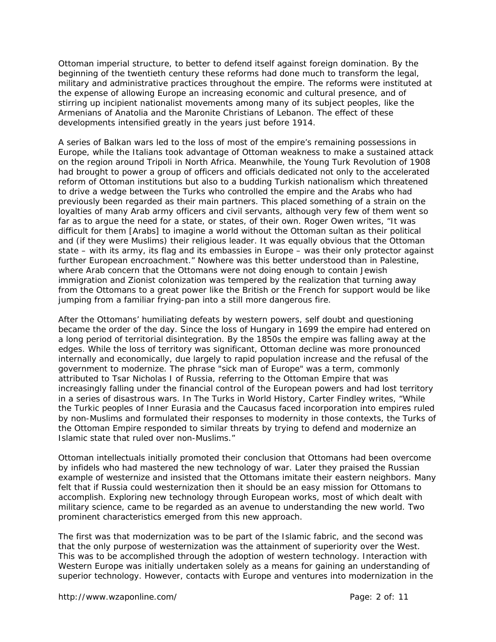Ottoman imperial structure, to better to defend itself against foreign domination. By the beginning of the twentieth century these reforms had done much to transform the legal, military and administrative practices throughout the empire. The reforms were instituted at the expense of allowing Europe an increasing economic and cultural presence, and of stirring up incipient nationalist movements among many of its subject peoples, like the Armenians of Anatolia and the Maronite Christians of Lebanon. The effect of these developments intensified greatly in the years just before 1914.

A series of Balkan wars led to the loss of most of the empire's remaining possessions in Europe, while the Italians took advantage of Ottoman weakness to make a sustained attack on the region around Tripoli in North Africa. Meanwhile, the Young Turk Revolution of 1908 had brought to power a group of officers and officials dedicated not only to the accelerated reform of Ottoman institutions but also to a budding Turkish nationalism which threatened to drive a wedge between the Turks who controlled the empire and the Arabs who had previously been regarded as their main partners. This placed something of a strain on the loyalties of many Arab army officers and civil servants, although very few of them went so far as to argue the need for a state, or states, of their own. Roger Owen writes, "It was difficult for them [Arabs] to imagine a world without the Ottoman sultan as their political and (if they were Muslims) their religious leader. It was equally obvious that the Ottoman state – with its army, its flag and its embassies in Europe – was their only protector against further European encroachment." Nowhere was this better understood than in Palestine, where Arab concern that the Ottomans were not doing enough to contain Jewish immigration and Zionist colonization was tempered by the realization that turning away from the Ottomans to a great power like the British or the French for support would be like jumping from a familiar frying-pan into a still more dangerous fire.

After the Ottomans' humiliating defeats by western powers, self doubt and questioning became the order of the day. Since the loss of Hungary in 1699 the empire had entered on a long period of territorial disintegration. By the 1850s the empire was falling away at the edges. While the loss of territory was significant, Ottoman decline was more pronounced internally and economically, due largely to rapid population increase and the refusal of the government to modernize. The phrase "sick man of Europe" was a term, commonly attributed to Tsar Nicholas I of Russia, referring to the Ottoman Empire that was increasingly falling under the financial control of the European powers and had lost territory in a series of disastrous wars. In *The Turks in World History*, Carter Findley writes, "While the Turkic peoples of Inner Eurasia and the Caucasus faced incorporation into empires ruled by non-Muslims and formulated their responses to modernity in those contexts, the Turks of the Ottoman Empire responded to similar threats by trying to defend and modernize an Islamic state that ruled over non-Muslims."

Ottoman intellectuals initially promoted their conclusion that Ottomans had been overcome by infidels who had mastered the new technology of war. Later they praised the Russian example of westernize and insisted that the Ottomans imitate their eastern neighbors. Many felt that if Russia could westernization then it should be an easy mission for Ottomans to accomplish. Exploring new technology through European works, most of which dealt with military science, came to be regarded as an avenue to understanding the new world. Two prominent characteristics emerged from this new approach.

The first was that modernization was to be part of the Islamic fabric, and the second was that the only purpose of westernization was the attainment of superiority over the West. This was to be accomplished through the adoption of western technology. Interaction with Western Europe was initially undertaken solely as a means for gaining an understanding of superior technology. However, contacts with Europe and ventures into modernization in the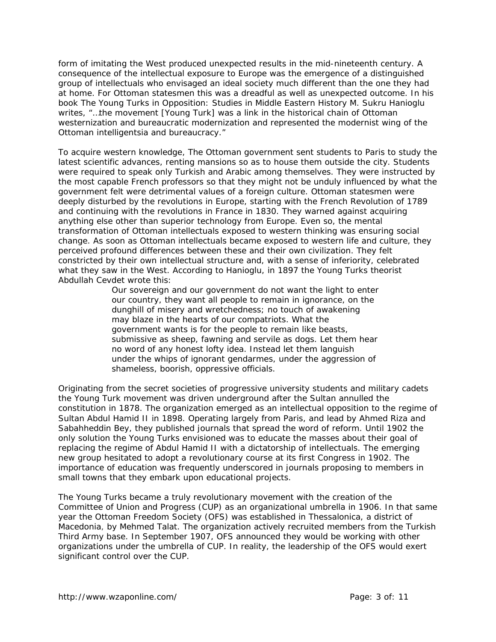form of imitating the West produced unexpected results in the mid-nineteenth century. A consequence of the intellectual exposure to Europe was the emergence of a distinguished group of intellectuals who envisaged an ideal society much different than the one they had at home. For Ottoman statesmen this was a dreadful as well as unexpected outcome. In his book *The Young Turks in Opposition: Studies in Middle Eastern History* M. Sukru Hanioglu writes, "…the movement [Young Turk] was a link in the historical chain of Ottoman westernization and bureaucratic modernization and represented the modernist wing of the Ottoman intelligentsia and bureaucracy."

To acquire western knowledge, The Ottoman government sent students to Paris to study the latest scientific advances, renting mansions so as to house them outside the city. Students were required to speak only Turkish and Arabic among themselves. They were instructed by the most capable French professors so that they might not be unduly influenced by what the government felt were detrimental values of a foreign culture. Ottoman statesmen were deeply disturbed by the revolutions in Europe, starting with the French Revolution of 1789 and continuing with the revolutions in France in 1830. They warned against acquiring anything else other than superior technology from Europe. Even so, the mental transformation of Ottoman intellectuals exposed to western thinking was ensuring social change. As soon as Ottoman intellectuals became exposed to western life and culture, they perceived profound differences between these and their own civilization. They felt constricted by their own intellectual structure and, with a sense of inferiority, celebrated what they saw in the West. According to Hanioglu, in 1897 the Young Turks theorist Abdullah Cevdet wrote this:

> Our sovereign and our government do not want the light to enter our country, they want all people to remain in ignorance, on the dunghill of misery and wretchedness; no touch of awakening may blaze in the hearts of our compatriots. What the government wants is for the people to remain like beasts, submissive as sheep, fawning and servile as dogs. Let them hear no word of any honest lofty idea. Instead let them languish under the whips of ignorant gendarmes, under the aggression of shameless, boorish, oppressive officials.

Originating from the secret societies of progressive university students and military cadets the Young Turk movement was driven underground after the Sultan annulled the constitution in 1878. The organization emerged as an intellectual opposition to the regime of Sultan Abdul Hamid II in 1898. Operating largely from Paris, and lead by Ahmed Riza and Sabahheddin Bey, they published journals that spread the word of reform. Until 1902 the only solution the Young Turks envisioned was to educate the masses about their goal of replacing the regime of Abdul Hamid II with a dictatorship of intellectuals. The emerging new group hesitated to adopt a revolutionary course at its first Congress in 1902. The importance of education was frequently underscored in journals proposing to members in small towns that they embark upon educational projects.

The Young Turks became a truly revolutionary movement with the creation of the Committee of Union and Progress (CUP) as an organizational umbrella in 1906. In that same year the Ottoman Freedom Society (OFS) was established in Thessalonica, a district of Macedonia, by Mehmed Talat. The organization actively recruited members from the Turkish Third Army base. In September 1907, OFS announced they would be working with other organizations under the umbrella of CUP. In reality, the leadership of the OFS would exert significant control over the CUP.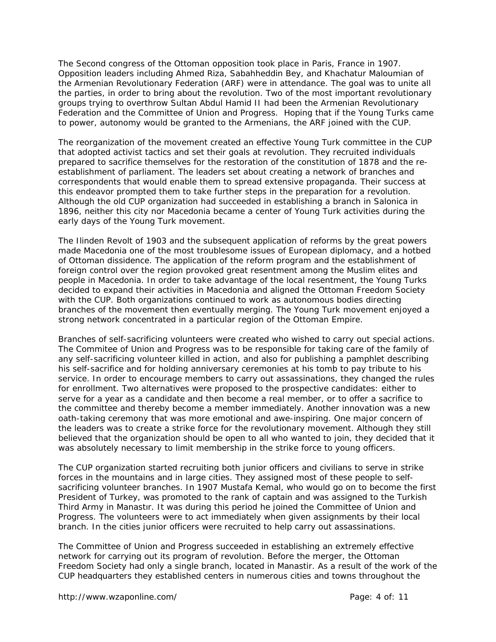The Second congress of the Ottoman opposition took place in Paris, France in 1907. Opposition leaders including Ahmed Riza, Sabahheddin Bey, and Khachatur Maloumian of the Armenian Revolutionary Federation (ARF) were in attendance. The goal was to unite all the parties, in order to bring about the revolution. Two of the most important revolutionary groups trying to overthrow Sultan Abdul Hamid II had been the Armenian Revolutionary Federation and the Committee of Union and Progress. Hoping that if the Young Turks came to power, autonomy would be granted to the Armenians, the ARF joined with the CUP.

The reorganization of the movement created an effective Young Turk committee in the CUP that adopted activist tactics and set their goals at revolution. They recruited individuals prepared to sacrifice themselves for the restoration of the constitution of 1878 and the reestablishment of parliament. The leaders set about creating a network of branches and correspondents that would enable them to spread extensive propaganda. Their success at this endeavor prompted them to take further steps in the preparation for a revolution. Although the old CUP organization had succeeded in establishing a branch in Salonica in 1896, neither this city nor Macedonia became a center of Young Turk activities during the early days of the Young Turk movement.

The Ilinden Revolt of 1903 and the subsequent application of reforms by the great powers made Macedonia one of the most troublesome issues of European diplomacy, and a hotbed of Ottoman dissidence. The application of the reform program and the establishment of foreign control over the region provoked great resentment among the Muslim elites and people in Macedonia. In order to take advantage of the local resentment, the Young Turks decided to expand their activities in Macedonia and aligned the Ottoman Freedom Society with the CUP. Both organizations continued to work as autonomous bodies directing branches of the movement then eventually merging. The Young Turk movement enjoyed a strong network concentrated in a particular region of the Ottoman Empire.

Branches of self-sacrificing volunteers were created who wished to carry out special actions. The Commitee of Union and Progress was to be responsible for taking care of the family of any self-sacrificing volunteer killed in action, and also for publishing a pamphlet describing his self-sacrifice and for holding anniversary ceremonies at his tomb to pay tribute to his service. In order to encourage members to carry out assassinations, they changed the rules for enrollment. Two alternatives were proposed to the prospective candidates: either to serve for a year as a candidate and then become a real member, or to offer a sacrifice to the committee and thereby become a member immediately. Another innovation was a new oath-taking ceremony that was more emotional and awe-inspiring. One major concern of the leaders was to create a strike force for the revolutionary movement. Although they still believed that the organization should be open to all who wanted to join, they decided that it was absolutely necessary to limit membership in the strike force to young officers.

The CUP organization started recruiting both junior officers and civilians to serve in strike forces in the mountains and in large cities. They assigned most of these people to selfsacrificing volunteer branches. In 1907 Mustafa Kemal, who would go on to become the first President of Turkey, was promoted to the rank of captain and was assigned to the Turkish Third Army in Manastır. It was during this period he joined the Committee of Union and Progress. The volunteers were to act immediately when given assignments by their local branch. In the cities junior officers were recruited to help carry out assassinations.

The Committee of Union and Progress succeeded in establishing an extremely effective network for carrying out its program of revolution. Before the merger, the Ottoman Freedom Society had only a single branch, located in Manastir. As a result of the work of the CUP headquarters they established centers in numerous cities and towns throughout the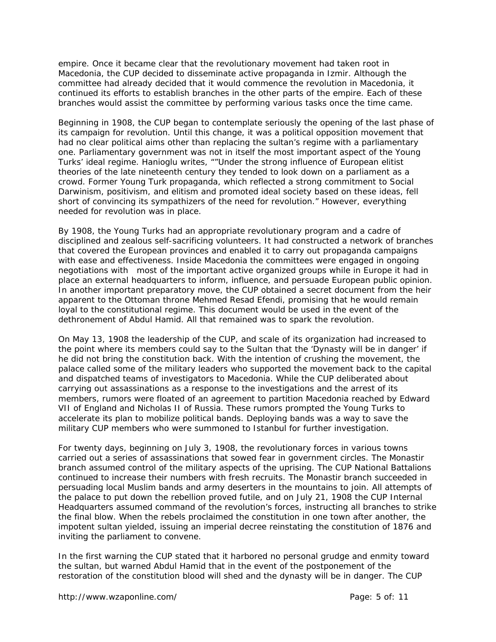empire. Once it became clear that the revolutionary movement had taken root in Macedonia, the CUP decided to disseminate active propaganda in Izmir. Although the committee had already decided that it would commence the revolution in Macedonia, it continued its efforts to establish branches in the other parts of the empire. Each of these branches would assist the committee by performing various tasks once the time came.

Beginning in 1908, the CUP began to contemplate seriously the opening of the last phase of its campaign for revolution. Until this change, it was a political opposition movement that had no clear political aims other than replacing the sultan's regime with a parliamentary one. Parliamentary government was not in itself the most important aspect of the Young Turks' ideal regime. Hanioglu writes, ""Under the strong influence of European elitist theories of the late nineteenth century they tended to look down on a parliament as a crowd. Former Young Turk propaganda, which reflected a strong commitment to Social Darwinism, positivism, and elitism and promoted ideal society based on these ideas, fell short of convincing its sympathizers of the need for revolution." However, everything needed for revolution was in place.

By 1908, the Young Turks had an appropriate revolutionary program and a cadre of disciplined and zealous self-sacrificing volunteers. It had constructed a network of branches that covered the European provinces and enabled it to carry out propaganda campaigns with ease and effectiveness. Inside Macedonia the committees were engaged in ongoing negotiations with most of the important active organized groups while in Europe it had in place an external headquarters to inform, influence, and persuade European public opinion. In another important preparatory move, the CUP obtained a secret document from the heir apparent to the Ottoman throne Mehmed Resad Efendi, promising that he would remain loyal to the constitutional regime. This document would be used in the event of the dethronement of Abdul Hamid. All that remained was to spark the revolution.

On May 13, 1908 the leadership of the CUP, and scale of its organization had increased to the point where its members could say to the Sultan that the 'Dynasty will be in danger' if he did not bring the constitution back. With the intention of crushing the movement, the palace called some of the military leaders who supported the movement back to the capital and dispatched teams of investigators to Macedonia. While the CUP deliberated about carrying out assassinations as a response to the investigations and the arrest of its members, rumors were floated of an agreement to partition Macedonia reached by Edward VII of England and Nicholas II of Russia. These rumors prompted the Young Turks to accelerate its plan to mobilize political bands. Deploying bands was a way to save the military CUP members who were summoned to Istanbul for further investigation.

For twenty days, beginning on July 3, 1908, the revolutionary forces in various towns carried out a series of assassinations that sowed fear in government circles. The Monastir branch assumed control of the military aspects of the uprising. The CUP National Battalions continued to increase their numbers with fresh recruits. The Monastir branch succeeded in persuading local Muslim bands and army deserters in the mountains to join. All attempts of the palace to put down the rebellion proved futile, and on July 21, 1908 the CUP Internal Headquarters assumed command of the revolution's forces, instructing all branches to strike the final blow. When the rebels proclaimed the constitution in one town after another, the impotent sultan yielded, issuing an imperial decree reinstating the constitution of 1876 and inviting the parliament to convene.

In the first warning the CUP stated that it harbored no personal grudge and enmity toward the sultan, but warned Abdul Hamid that in the event of the postponement of the restoration of the constitution blood will shed and the dynasty will be in danger. The CUP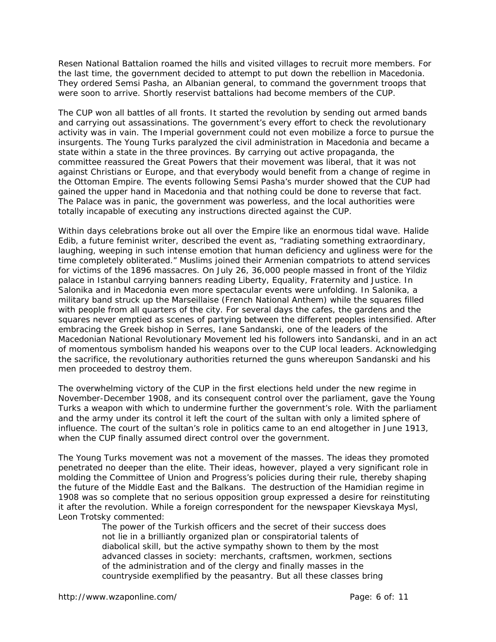Resen National Battalion roamed the hills and visited villages to recruit more members. For the last time, the government decided to attempt to put down the rebellion in Macedonia. They ordered Semsi Pasha, an Albanian general, to command the government troops that were soon to arrive. Shortly reservist battalions had become members of the CUP.

The CUP won all battles of all fronts. It started the revolution by sending out armed bands and carrying out assassinations. The government's every effort to check the revolutionary activity was in vain. The Imperial government could not even mobilize a force to pursue the insurgents. The Young Turks paralyzed the civil administration in Macedonia and became a state within a state in the three provinces. By carrying out active propaganda, the committee reassured the Great Powers that their movement was liberal, that it was not against Christians or Europe, and that everybody would benefit from a change of regime in the Ottoman Empire. The events following Semsi Pasha's murder showed that the CUP had gained the upper hand in Macedonia and that nothing could be done to reverse that fact. The Palace was in panic, the government was powerless, and the local authorities were totally incapable of executing any instructions directed against the CUP.

Within days celebrations broke out all over the Empire like an enormous tidal wave. Halide Edib, a future feminist writer, described the event as, "radiating something extraordinary, laughing, weeping in such intense emotion that human deficiency and ugliness were for the time completely obliterated." Muslims joined their Armenian compatriots to attend services for victims of the 1896 massacres. On July 26, 36,000 people massed in front of the Yildiz palace in Istanbul carrying banners reading *Liberty, Equality, Fraternity and Justice*. In Salonika and in Macedonia even more spectacular events were unfolding. In Salonika, a military band struck up the *Marseillaise* (French National Anthem) while the squares filled with people from all quarters of the city. For several days the cafes, the gardens and the squares never emptied as scenes of partying between the different peoples intensified. After embracing the Greek bishop in Serres, Iane Sandanski, one of the leaders of the Macedonian National Revolutionary Movement led his followers into Sandanski, and in an act of momentous symbolism handed his weapons over to the CUP local leaders. Acknowledging the sacrifice, the revolutionary authorities returned the guns whereupon Sandanski and his men proceeded to destroy them.

The overwhelming victory of the CUP in the first elections held under the new regime in November-December 1908, and its consequent control over the parliament, gave the Young Turks a weapon with which to undermine further the government's role. With the parliament and the army under its control it left the court of the sultan with only a limited sphere of influence. The court of the sultan's role in politics came to an end altogether in June 1913, when the CUP finally assumed direct control over the government.

The Young Turks movement was not a movement of the masses. The ideas they promoted penetrated no deeper than the elite. Their ideas, however, played a very significant role in molding the Committee of Union and Progress's policies during their rule, thereby shaping the future of the Middle East and the Balkans. The destruction of the Hamidian regime in 1908 was so complete that no serious opposition group expressed a desire for reinstituting it after the revolution. While a foreign correspondent for the newspaper *Kievskaya Mysl*, Leon Trotsky commented:

The power of the Turkish officers and the secret of their success does not lie in a brilliantly organized plan or conspiratorial talents of diabolical skill, but the active sympathy shown to them by the most advanced classes in society: merchants, craftsmen, workmen, sections of the administration and of the clergy and finally masses in the countryside exemplified by the peasantry. But all these classes bring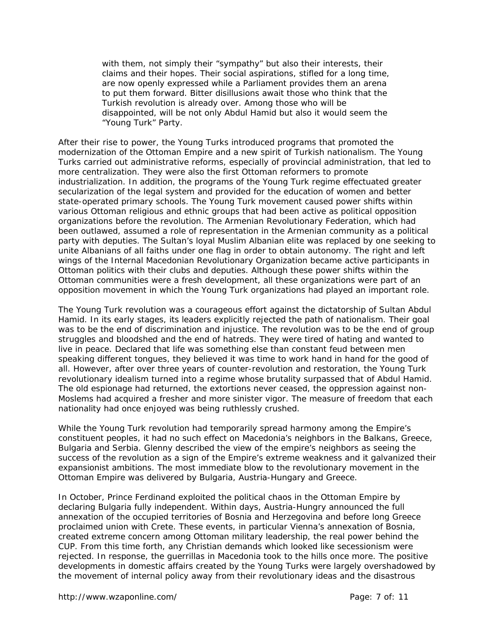with them, not simply their "sympathy" but also their interests, their claims and their hopes. Their social aspirations, stifled for a long time, are now openly expressed while a Parliament provides them an arena to put them forward. Bitter disillusions await those who think that the Turkish revolution is already over. Among those who will be disappointed, will be not only Abdul Hamid but also it would seem the "Young Turk" Party.

After their rise to power, the Young Turks introduced programs that promoted the modernization of the Ottoman Empire and a new spirit of Turkish nationalism. The Young Turks carried out administrative reforms, especially of provincial administration, that led to more centralization. They were also the first Ottoman reformers to promote industrialization. In addition, the programs of the Young Turk regime effectuated greater secularization of the legal system and provided for the education of women and better state-operated primary schools. The Young Turk movement caused power shifts within various Ottoman religious and ethnic groups that had been active as political opposition organizations before the revolution. The Armenian Revolutionary Federation, which had been outlawed, assumed a role of representation in the Armenian community as a political party with deputies. The Sultan's loyal Muslim Albanian elite was replaced by one seeking to unite Albanians of all faiths under one flag in order to obtain autonomy. The right and left wings of the Internal Macedonian Revolutionary Organization became active participants in Ottoman politics with their clubs and deputies. Although these power shifts within the Ottoman communities were a fresh development, all these organizations were part of an opposition movement in which the Young Turk organizations had played an important role.

The Young Turk revolution was a courageous effort against the dictatorship of Sultan Abdul Hamid. In its early stages, its leaders explicitly rejected the path of nationalism. Their goal was to be the end of discrimination and injustice. The revolution was to be the end of group struggles and bloodshed and the end of hatreds. They were tired of hating and wanted to live in peace. Declared that life was something else than constant feud between men speaking different tongues, they believed it was time to work hand in hand for the good of all. However, after over three years of counter-revolution and restoration, the Young Turk revolutionary idealism turned into a regime whose brutality surpassed that of Abdul Hamid. The old espionage had returned, the extortions never ceased, the oppression against non-Moslems had acquired a fresher and more sinister vigor. The measure of freedom that each nationality had once enjoyed was being ruthlessly crushed.

While the Young Turk revolution had temporarily spread harmony among the Empire's constituent peoples, it had no such effect on Macedonia's neighbors in the Balkans, Greece, Bulgaria and Serbia. Glenny described the view of the empire's neighbors as seeing the success of the revolution as a sign of the Empire's extreme weakness and it galvanized their expansionist ambitions. The most immediate blow to the revolutionary movement in the Ottoman Empire was delivered by Bulgaria, Austria-Hungary and Greece.

In October, Prince Ferdinand exploited the political chaos in the Ottoman Empire by declaring Bulgaria fully independent. Within days, Austria-Hungry announced the full annexation of the occupied territories of Bosnia and Herzegovina and before long Greece proclaimed union with Crete. These events, in particular Vienna's annexation of Bosnia, created extreme concern among Ottoman military leadership, the real power behind the CUP. From this time forth, any Christian demands which looked like secessionism were rejected. In response, the guerrillas in Macedonia took to the hills once more. The positive developments in domestic affairs created by the Young Turks were largely overshadowed by the movement of internal policy away from their revolutionary ideas and the disastrous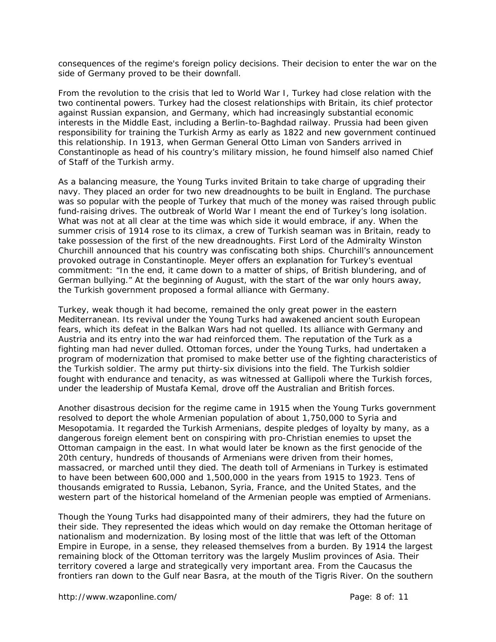consequences of the regime's foreign policy decisions. Their decision to enter the war on the side of Germany proved to be their downfall.

From the revolution to the crisis that led to World War I, Turkey had close relation with the two continental powers. Turkey had the closest relationships with Britain, its chief protector against Russian expansion, and Germany, which had increasingly substantial economic interests in the Middle East, including a Berlin-to-Baghdad railway. Prussia had been given responsibility for training the Turkish Army as early as 1822 and new government continued this relationship. In 1913, when German General Otto Liman von Sanders arrived in Constantinople as head of his country's military mission, he found himself also named Chief of Staff of the Turkish army.

As a balancing measure, the Young Turks invited Britain to take charge of upgrading their navy. They placed an order for two new dreadnoughts to be built in England. The purchase was so popular with the people of Turkey that much of the money was raised through public fund-raising drives. The outbreak of World War I meant the end of Turkey's long isolation. What was not at all clear at the time was which side it would embrace, if any. When the summer crisis of 1914 rose to its climax, a crew of Turkish seaman was in Britain, ready to take possession of the first of the new dreadnoughts. First Lord of the Admiralty Winston Churchill announced that his country was confiscating both ships. Churchill's announcement provoked outrage in Constantinople. Meyer offers an explanation for Turkey's eventual commitment: "In the end, it came down to a matter of ships, of British blundering, and of German bullying." At the beginning of August, with the start of the war only hours away, the Turkish government proposed a formal alliance with Germany.

Turkey, weak though it had become, remained the only great power in the eastern Mediterranean. Its revival under the Young Turks had awakened ancient south European fears, which its defeat in the Balkan Wars had not quelled. Its alliance with Germany and Austria and its entry into the war had reinforced them. The reputation of the Turk as a fighting man had never dulled. Ottoman forces, under the Young Turks, had undertaken a program of modernization that promised to make better use of the fighting characteristics of the Turkish soldier. The army put thirty-six divisions into the field. The Turkish soldier fought with endurance and tenacity, as was witnessed at Gallipoli where the Turkish forces, under the leadership of Mustafa Kemal, drove off the Australian and British forces.

Another disastrous decision for the regime came in 1915 when the [Young Turks government](http://www.naqshbandi.org/ottomans/modern/young%20turks.htm) resolved to deport the whole Armenian population of about 1,750,000 to Syria and Mesopotamia. It regarded the Turkish Armenians, despite pledges of loyalty by many, as a dangerous foreign element bent on conspiring with pro-Christian enemies to upset the Ottoman campaign in the east. In what would later be known as the first genocide of the 20th century, hundreds of thousands of Armenians were driven from their homes, massacred, or marched until they died. The death toll of Armenians in Turkey is estimated to have been between [600,000 and 1,500,000](http://www.naqshbandi.org/ottomans/modern/researcher.htm) in the years from 1915 to 1923. Tens of thousands emigrated to Russia, Lebanon, Syria, France, and the United States, and the western part of the historical homeland of the Armenian people was emptied of Armenians.

Though the Young Turks had disappointed many of their admirers, they had the future on their side. They represented the ideas which would on day remake the Ottoman heritage of nationalism and modernization. By losing most of the little that was left of the Ottoman Empire in Europe, in a sense, they released themselves from a burden. By 1914 the largest remaining block of the Ottoman territory was the largely Muslim provinces of Asia. Their territory covered a large and strategically very important area. From the Caucasus the frontiers ran down to the Gulf near Basra, at the mouth of the Tigris River. On the southern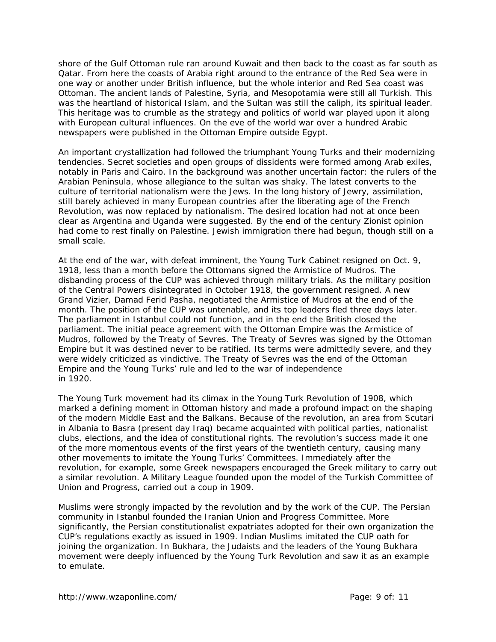shore of the Gulf Ottoman rule ran around Kuwait and then back to the coast as far south as Qatar. From here the coasts of Arabia right around to the entrance of the Red Sea were in one way or another under British influence, but the whole interior and Red Sea coast was Ottoman. The ancient lands of Palestine, Syria, and Mesopotamia were still all Turkish. This was the heartland of historical Islam, and the Sultan was still the caliph, its spiritual leader. This heritage was to crumble as the strategy and politics of world war played upon it along with European cultural influences. On the eve of the world war over a hundred Arabic newspapers were published in the Ottoman Empire outside Egypt.

An important crystallization had followed the triumphant Young Turks and their modernizing tendencies. Secret societies and open groups of dissidents were formed among Arab exiles, notably in Paris and Cairo. In the background was another uncertain factor: the rulers of the Arabian Peninsula, whose allegiance to the sultan was shaky. The latest converts to the culture of territorial nationalism were the Jews. In the long history of Jewry, assimilation, still barely achieved in many European countries after the liberating age of the French Revolution, was now replaced by nationalism. The desired location had not at once been clear as Argentina and Uganda were suggested. By the end of the century Zionist opinion had come to rest finally on Palestine. Jewish immigration there had begun, though still on a small scale.

At the end of the war, with defeat imminent, the Young Turk Cabinet resigned on Oct. 9, 1918, less than a month before the Ottomans signed the Armistice of Mudros. The disbanding process of the CUP was achieved through military trials. As the military position of the Central Powers disintegrated in October 1918, the government resigned. A new Grand Vizier, Damad Ferid Pasha, negotiated the Armistice of Mudros at the end of the month. The position of the CUP was untenable, and its top leaders fled three days later. The parliament in Istanbul could not function, and in the end the British closed the parliament. The initial peace agreement with the Ottoman Empire was the Armistice of Mudros, followed by the Treaty of Sevres. The Treaty of Sevres was signed by the Ottoman Empire but it was destined never to be ratified. Its terms were admittedly severe, and they were widely criticized as vindictive. The Treaty of Sevres was the end of the Ottoman Empire and the Young Turks' rule and led to the war of independence in 1920.

The Young Turk movement had its climax in the Young Turk Revolution of 1908, which marked a defining moment in Ottoman history and made a profound impact on the shaping of the modern Middle East and the Balkans. Because of the revolution, an area from Scutari in Albania to Basra (present day Iraq) became acquainted with political parties, nationalist clubs, elections, and the idea of constitutional rights. The revolution's success made it one of the more momentous events of the first years of the twentieth century, causing many other movements to imitate the Young Turks' Committees. Immediately after the revolution, for example, some Greek newspapers encouraged the Greek military to carry out a similar revolution. A Military League founded upon the model of the Turkish Committee of Union and Progress, carried out a coup in 1909.

Muslims were strongly impacted by the revolution and by the work of the CUP. The Persian community in Istanbul founded the Iranian Union and Progress Committee. More significantly, the Persian constitutionalist expatriates adopted for their own organization the CUP's regulations exactly as issued in 1909. Indian Muslims imitated the CUP oath for joining the organization. In Bukhara, the Judaists and the leaders of the Young Bukhara movement were deeply influenced by the Young Turk Revolution and saw it as an example to emulate.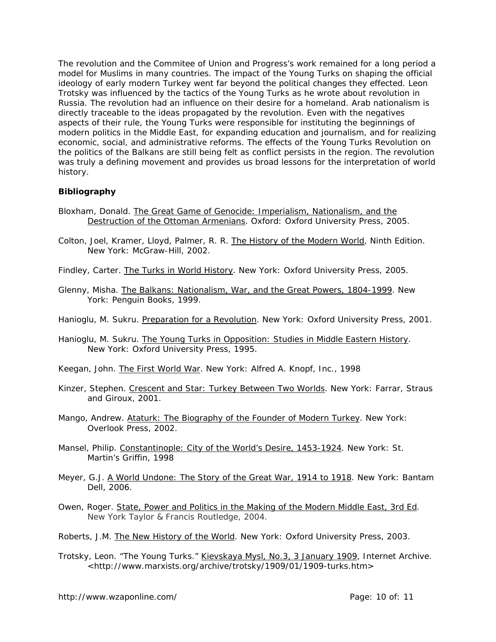The revolution and the Commitee of Union and Progress's work remained for a long period a model for Muslims in many countries. The impact of the Young Turks on shaping the official ideology of early modern Turkey went far beyond the political changes they effected. Leon Trotsky was influenced by the tactics of the Young Turks as he wrote about revolution in Russia. The revolution had an influence on their desire for a homeland. Arab nationalism is directly traceable to the ideas propagated by the revolution. Even with the negatives aspects of their rule, the Young Turks were responsible for instituting the beginnings of modern politics in the Middle East, for expanding education and journalism, and for realizing economic, social, and administrative reforms. The effects of the Young Turks Revolution on the politics of the Balkans are still being felt as conflict persists in the region. The revolution was truly a defining movement and provides us broad lessons for the interpretation of world history.

## **Bibliography**

- Bloxham, Donald. The Great Game of Genocide: Imperialism, Nationalism, and the Destruction of the Ottoman Armenians. Oxford: Oxford University Press, 2005.
- Colton, Joel, Kramer, Lloyd, Palmer, R. R. The History of the Modern World, Ninth Edition. New York: McGraw-Hill, 2002.
- Findley, Carter. The Turks in World History. New York: Oxford University Press, 2005.
- Glenny, Misha. The Balkans: Nationalism, War, and the Great Powers, 1804-1999. New York: Penguin Books, 1999.
- Hanioglu, M. Sukru. Preparation for a Revolution. New York: Oxford University Press, 2001.
- Hanioglu, M. Sukru. The Young Turks in Opposition: Studies in Middle Eastern History. New York: Oxford University Press, 1995.
- Keegan, John. The First World War. New York: Alfred A. Knopf, Inc., 1998
- Kinzer, Stephen. Crescent and Star: Turkey Between Two Worlds. New York: Farrar, Straus and Giroux, 2001.
- Mango, Andrew. Ataturk: The Biography of the Founder of Modern Turkey. New York: Overlook Press, 2002.
- Mansel, Philip. Constantinople: City of the World's Desire, 1453-1924. New York: St. Martin's Griffin, 1998
- Meyer, G.J. A World Undone: The Story of the Great War, 1914 to 1918. New York: Bantam Dell, 2006.
- Owen, Roger. State, Power and Politics in the Making of the Modern Middle East, 3rd Ed. New York Taylor & Francis Routledge, 2004.
- Roberts, J.M. The New History of the World. New York: Oxford University Press, 2003.
- Trotsky, Leon. "The Young Turks." Kievskaya Mysl, No.3, 3 January 1909, Internet Archive. <http://www.marxists.org/archive/trotsky/1909/01/1909-turks.htm>